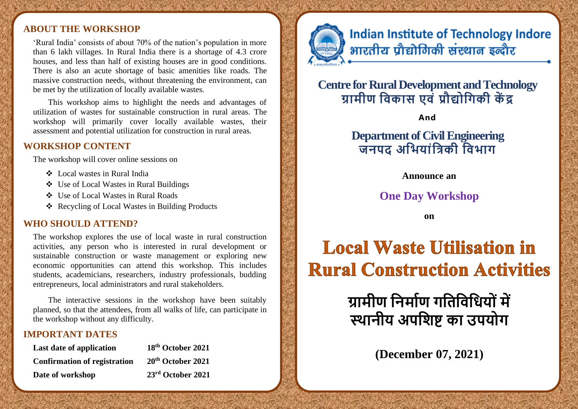#### **ABOUT THE WORKSHOP**

'Rural India' consists of about 70% of the nation's population in more than 6 lakh villages. In Rural India there is a shortage of 4.3 crore houses, and less than half of existing houses are in good conditions. There is also an acute shortage of basic amenities like roads. The massive construction needs, without threatening the environment, can be met by the utilization of locally available wastes.

This workshop aims to highlight the needs and advantages of utilization of wastes for sustainable construction in rural areas. The workshop will primarily cover locally available wastes, their assessment and potential utilization for construction in rural areas.

#### **WORKSHOP CONTENT**

The workshop will cover online sessions on

- ❖ Local wastes in Rural India
- ❖ Use of Local Wastes in Rural Buildings
- ❖ Use of Local Wastes in Rural Roads
- ❖ Recycling of Local Wastes in Building Products

#### **WHO SHOULD ATTEND?**

The workshop explores the use of local waste in rural construction activities, any person who is interested in rural development or sustainable construction or waste management or exploring new economic opportunities can attend this workshop. This includes students, academicians, researchers, industry professionals, budding entrepreneurs, local administrators and rural stakeholders.

The interactive sessions in the workshop have been suitably planned, so that the attendees, from all walks of life, can participate in the workshop without any difficulty.

#### **IMPORTANT DATES**

| Last date of application            | 18th October 2021             |
|-------------------------------------|-------------------------------|
| <b>Confirmation of registration</b> | 20 <sup>th</sup> October 2021 |
| Date of workshop                    | 23rd October 2021             |

## **Indian Institute of Technology Indore** भारतीय प्रौद्योगिकी संस्थान इन्दौर

## **Centre for Rural Development and Technology ग्रामीण निकास एिों प्रौद्य नगकी कें द्र**

**And**

## **Department of Civil Engineering जिपद अनियाोंनिकी नििाग**

**Announce an**

### **One Day Workshop**

**on** 

# **Local Waste Utilisation in Rural Construction Activities**

**ग्रामीण निमााण गनिनिनिय ोंमें स्थािीय अपनिष्ट का उपय ग**

**(December 07, 2021)**